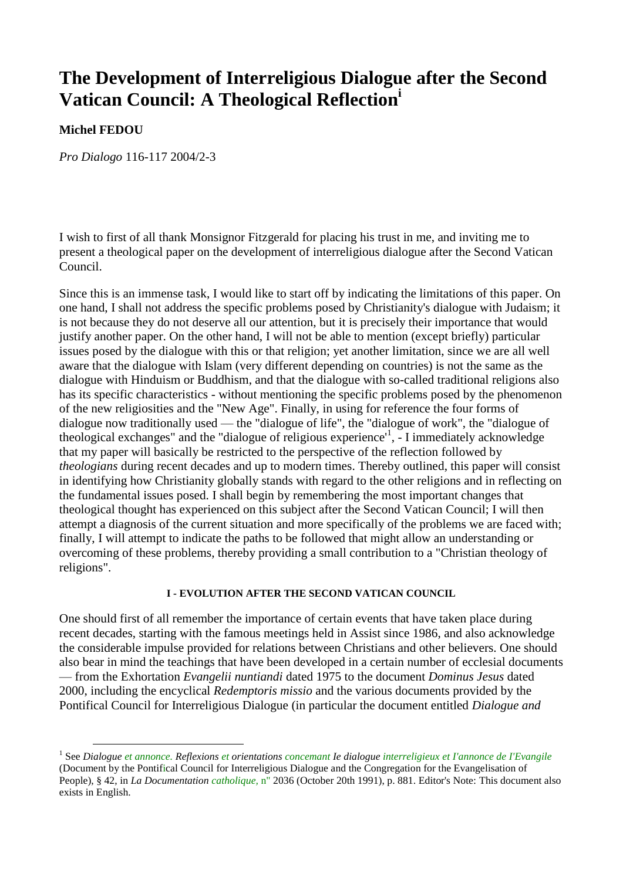# **The Development of Interreligious Dialogue after the Second Vatican Council: A Theological Reflection<sup>i</sup>**

## **Michel FEDOU**

 $\overline{a}$ 

*Pro Dialogo* 116-117 2004/2-3

I wish to first of all thank Monsignor Fitzgerald for placing his trust in me, and inviting me to present a theological paper on the development of interreligious dialogue after the Second Vatican Council.

Since this is an immense task, I would like to start off by indicating the limitations of this paper. On one hand, I shall not address the specific problems posed by Christianity's dialogue with Judaism; it is not because they do not deserve all our attention, but it is precisely their importance that would justify another paper. On the other hand, I will not be able to mention (except briefly) particular issues posed by the dialogue with this or that religion; yet another limitation, since we are all well aware that the dialogue with Islam (very different depending on countries) is not the same as the dialogue with Hinduism or Buddhism, and that the dialogue with so-called traditional religions also has its specific characteristics - without mentioning the specific problems posed by the phenomenon of the new religiosities and the "New Age". Finally, in using for reference the four forms of dialogue now traditionally used — the "dialogue of life", the "dialogue of work", the "dialogue of theological exchanges" and the "dialogue of religious experience', - I immediately acknowledge that my paper will basically be restricted to the perspective of the reflection followed by *theologians* during recent decades and up to modern times. Thereby outlined, this paper will consist in identifying how Christianity globally stands with regard to the other religions and in reflecting on the fundamental issues posed. I shall begin by remembering the most important changes that theological thought has experienced on this subject after the Second Vatican Council; I will then attempt a diagnosis of the current situation and more specifically of the problems we are faced with; finally, I will attempt to indicate the paths to be followed that might allow an understanding or overcoming of these problems, thereby providing a small contribution to a "Christian theology of religions".

#### **I - EVOLUTION AFTER THE SECOND VATICAN COUNCIL**

One should first of all remember the importance of certain events that have taken place during recent decades, starting with the famous meetings held in Assist since 1986, and also acknowledge the considerable impulse provided for relations between Christians and other believers. One should also bear in mind the teachings that have been developed in a certain number of ecclesial documents — from the Exhortation *Evangelii nuntiandi* dated 1975 to the document *Dominus Jesus* dated 2000, including the encyclical *Redemptoris missio* and the various documents provided by the Pontifical Council for Interreligious Dialogue (in particular the document entitled *Dialogue and* 

<sup>1</sup> See *Dialogue et annonce. Reflexions et orientations concemant Ie dialogue interreligieux et I'annonce de I'Evangile* (Document by the Pontifical Council for Interreligious Dialogue and the Congregation for the Evangelisation of People), § 42, in *La Documentation catholique,* n" 2036 (October 20th 1991), p. 881. Editor's Note: This document also exists in English.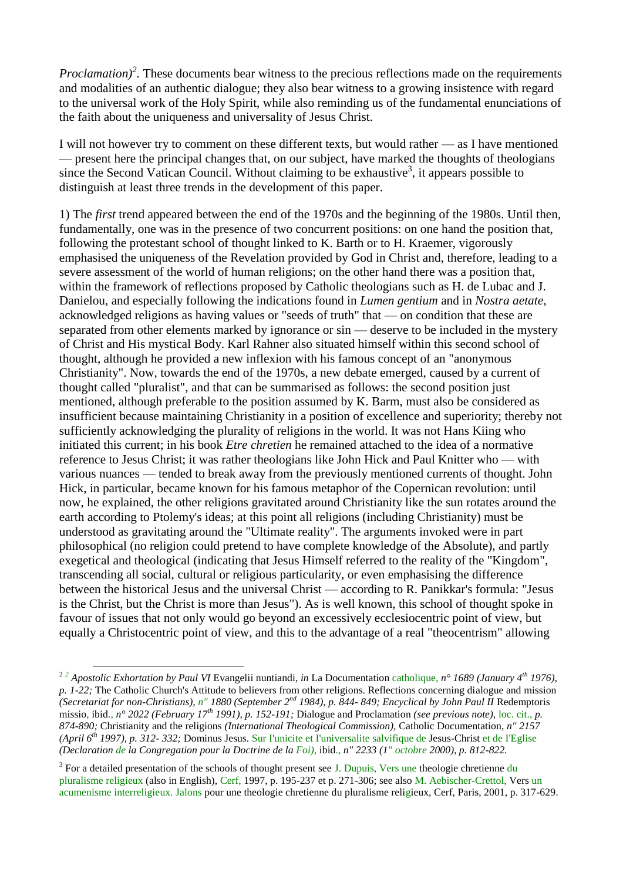*Proclamation*<sup>2</sup>. These documents bear witness to the precious reflections made on the requirements and modalities of an authentic dialogue; they also bear witness to a growing insistence with regard to the universal work of the Holy Spirit, while also reminding us of the fundamental enunciations of the faith about the uniqueness and universality of Jesus Christ.

I will not however try to comment on these different texts, but would rather — as I have mentioned — present here the principal changes that, on our subject, have marked the thoughts of theologians since the Second Vatican Council. Without claiming to be exhaustive<sup>3</sup>, it appears possible to distinguish at least three trends in the development of this paper.

1) The *first* trend appeared between the end of the 1970s and the beginning of the 1980s. Until then, fundamentally, one was in the presence of two concurrent positions: on one hand the position that, following the protestant school of thought linked to K. Barth or to H. Kraemer, vigorously emphasised the uniqueness of the Revelation provided by God in Christ and, therefore, leading to a severe assessment of the world of human religions; on the other hand there was a position that, within the framework of reflections proposed by Catholic theologians such as H. de Lubac and J. Danielou, and especially following the indications found in *Lumen gentium* and in *Nostra aetate,*  acknowledged religions as having values or "seeds of truth" that — on condition that these are separated from other elements marked by ignorance or sin — deserve to be included in the mystery of Christ and His mystical Body. Karl Rahner also situated himself within this second school of thought, although he provided a new inflexion with his famous concept of an "anonymous Christianity". Now, towards the end of the 1970s, a new debate emerged, caused by a current of thought called "pluralist", and that can be summarised as follows: the second position just mentioned, although preferable to the position assumed by K. Barm, must also be considered as insufficient because maintaining Christianity in a position of excellence and superiority; thereby not sufficiently acknowledging the plurality of religions in the world. It was not Hans Kiing who initiated this current; in his book *Etre chretien* he remained attached to the idea of a normative reference to Jesus Christ; it was rather theologians like John Hick and Paul Knitter who — with various nuances — tended to break away from the previously mentioned currents of thought. John Hick, in particular, became known for his famous metaphor of the Copernican revolution: until now, he explained, the other religions gravitated around Christianity like the sun rotates around the earth according to Ptolemy's ideas; at this point all religions (including Christianity) must be understood as gravitating around the "Ultimate reality". The arguments invoked were in part philosophical (no religion could pretend to have complete knowledge of the Absolute), and partly exegetical and theological (indicating that Jesus Himself referred to the reality of the "Kingdom", transcending all social, cultural or religious particularity, or even emphasising the difference between the historical Jesus and the universal Christ — according to R. Panikkar's formula: "Jesus is the Christ, but the Christ is more than Jesus"). As is well known, this school of thought spoke in favour of issues that not only would go beyond an excessively ecclesiocentric point of view, but equally a Christocentric point of view, and this to the advantage of a real "theocentrism" allowing

<sup>2</sup> *<sup>2</sup> Apostolic Exhortation by Paul VI* Evangelii nuntiandi, *in* La Documentation catholique, *n° 1689 (January 4th 1976), p. 1-22;* The Catholic Church's Attitude to believers from other religions. Reflections concerning dialogue and mission *(Secretariat for non-Christians), n" 1880 (September 2nd 1984), p. 844- 849; Encyclical by John Paul II* Redemptoris missio, ibid., *n° 2022 (February 17th 1991), p. 152-191;* Dialogue and Proclamation *(see previous note),* loc. cit., *p. 874-890;* Christianity and the religions *(International Theological Commission),* Catholic Documentation, *n" 2157 (April 6th 1997), p. 312- 332;* Dominus Jesus. Sur I'unicite et I'universalite salvifique de Jesus-Christ et de I'Eglise *(Declaration de la Congregation pour la Doctrine de la Foi),* ibid., *n" 2233 (1" octobre 2000), p. 812-822.*

<sup>&</sup>lt;sup>3</sup> For a detailed presentation of the schools of thought present see J. Dupuis, Vers une theologie chretienne du pluralisme religieux (also in English), Cerf, 1997, p. 195-237 et p. 271-306; see also M. Aebischer-Crettol, Vers un acumenisme interreligieux. Jalons pour une theologie chretienne du pluralisme religieux, Cerf, Paris, 2001, p. 317-629.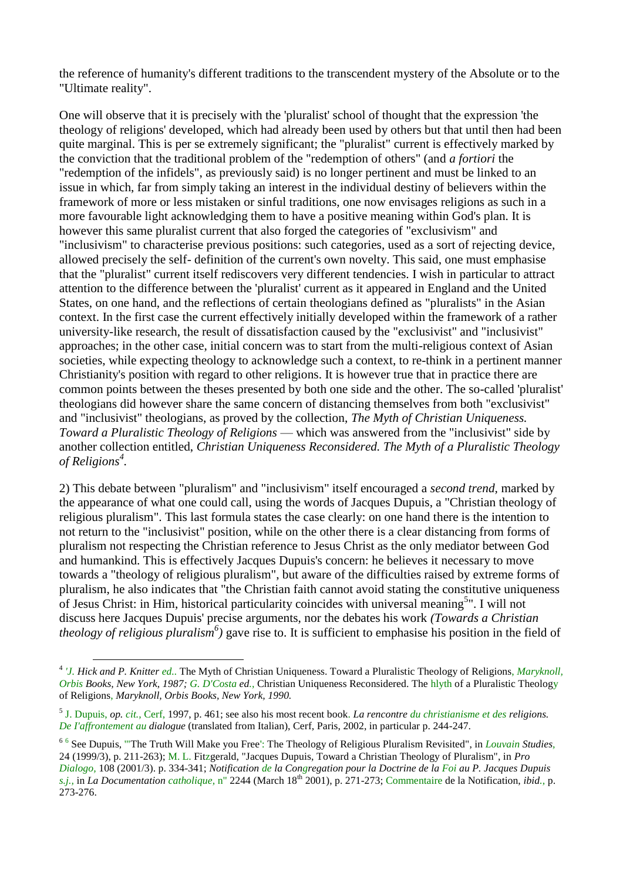the reference of humanity's different traditions to the transcendent mystery of the Absolute or to the "Ultimate reality".

One will observe that it is precisely with the 'pluralist' school of thought that the expression 'the theology of religions' developed, which had already been used by others but that until then had been quite marginal. This is per se extremely significant; the "pluralist" current is effectively marked by the conviction that the traditional problem of the "redemption of others" (and *a fortiori* the "redemption of the infidels", as previously said) is no longer pertinent and must be linked to an issue in which, far from simply taking an interest in the individual destiny of believers within the framework of more or less mistaken or sinful traditions, one now envisages religions as such in a more favourable light acknowledging them to have a positive meaning within God's plan. It is however this same pluralist current that also forged the categories of "exclusivism" and "inclusivism" to characterise previous positions: such categories, used as a sort of rejecting device, allowed precisely the self- definition of the current's own novelty. This said, one must emphasise that the "pluralist" current itself rediscovers very different tendencies. I wish in particular to attract attention to the difference between the 'pluralist' current as it appeared in England and the United States, on one hand, and the reflections of certain theologians defined as "pluralists" in the Asian context. In the first case the current effectively initially developed within the framework of a rather university-like research, the result of dissatisfaction caused by the "exclusivist" and "inclusivist" approaches; in the other case, initial concern was to start from the multi-religious context of Asian societies, while expecting theology to acknowledge such a context, to re-think in a pertinent manner Christianity's position with regard to other religions. It is however true that in practice there are common points between the theses presented by both one side and the other. The so-called 'pluralist' theologians did however share the same concern of distancing themselves from both "exclusivist" and "inclusivist" theologians, as proved by the collection, *The Myth of Christian Uniqueness. Toward a Pluralistic Theology of Religions* — which was answered from the "inclusivist" side by another collection entitled, *Christian Uniqueness Reconsidered. The Myth of a Pluralistic Theology of Religions<sup>4</sup> .*

2) This debate between "pluralism" and "inclusivism" itself encouraged a *second trend,* marked by the appearance of what one could call, using the words of Jacques Dupuis, a "Christian theology of religious pluralism". This last formula states the case clearly: on one hand there is the intention to not return to the "inclusivist" position, while on the other there is a clear distancing from forms of pluralism not respecting the Christian reference to Jesus Christ as the only mediator between God and humankind. This is effectively Jacques Dupuis's concern: he believes it necessary to move towards a "theology of religious pluralism", but aware of the difficulties raised by extreme forms of pluralism, he also indicates that "the Christian faith cannot avoid stating the constitutive uniqueness of Jesus Christ: in Him, historical particularity coincides with universal meaning<sup>5</sup>". I will not discuss here Jacques Dupuis' precise arguments, nor the debates his work *(Towards a Christian theology of religious pluralism<sup>6</sup> )* gave rise to. It is sufficient to emphasise his position in the field of

<sup>4</sup> *'J. Hick and P. Knitter ed..* The Myth of Christian Uniqueness. Toward a Pluralistic Theology of Religions, *Maryknoll, Orbis Books, New York, 1987; G. D'Costa ed.,* Christian Uniqueness Reconsidered. The hlyth of a Pluralistic Theology of Religions, *Maryknoll, Orbis Books, New York, 1990.*

<sup>5</sup> J. Dupuis, *op. cit.,* Cerf, 1997, p. 461; see also his most recent book. *La rencontre du christianisme et des religions. De I'affrontement au dialogue* (translated from Italian), Cerf, Paris, 2002, in particular p. 244-247.

<sup>6</sup> 6 See Dupuis, '"The Truth Will Make you Free': The Theology of Religious Pluralism Revisited", in *Louvain Studies,* 24 (1999/3), p. 211-263); M. L. Fitzgerald, "Jacques Dupuis, Toward a Christian Theology of Pluralism", in *Pro Dialogo,* 108 (2001/3). p. 334-341; *Notification de la Congregation pour la Doctrine de la Foi au P. Jacques Dupuis s.j.,* in *La Documentation catholique,* n" 2244 (March 18th 2001), p. 271-273; Commentaire de la Notification, *ibid.,* p. 273-276.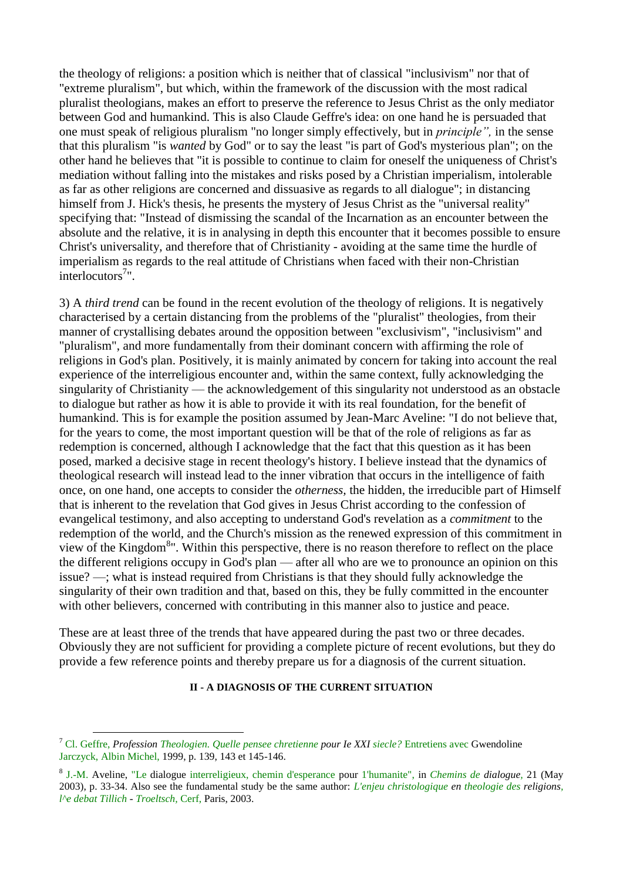the theology of religions: a position which is neither that of classical "inclusivism" nor that of "extreme pluralism", but which, within the framework of the discussion with the most radical pluralist theologians, makes an effort to preserve the reference to Jesus Christ as the only mediator between God and humankind. This is also Claude Geffre's idea: on one hand he is persuaded that one must speak of religious pluralism "no longer simply effectively, but in *principle",* in the sense that this pluralism "is *wanted* by God" or to say the least "is part of God's mysterious plan"; on the other hand he believes that "it is possible to continue to claim for oneself the uniqueness of Christ's mediation without falling into the mistakes and risks posed by a Christian imperialism, intolerable as far as other religions are concerned and dissuasive as regards to all dialogue"; in distancing himself from J. Hick's thesis, he presents the mystery of Jesus Christ as the "universal reality" specifying that: "Instead of dismissing the scandal of the Incarnation as an encounter between the absolute and the relative, it is in analysing in depth this encounter that it becomes possible to ensure Christ's universality, and therefore that of Christianity - avoiding at the same time the hurdle of imperialism as regards to the real attitude of Christians when faced with their non-Christian interlocutors<sup>7</sup>".

3) A *third trend* can be found in the recent evolution of the theology of religions. It is negatively characterised by a certain distancing from the problems of the "pluralist" theologies, from their manner of crystallising debates around the opposition between "exclusivism", "inclusivism" and "pluralism", and more fundamentally from their dominant concern with affirming the role of religions in God's plan. Positively, it is mainly animated by concern for taking into account the real experience of the interreligious encounter and, within the same context, fully acknowledging the singularity of Christianity — the acknowledgement of this singularity not understood as an obstacle to dialogue but rather as how it is able to provide it with its real foundation, for the benefit of humankind. This is for example the position assumed by Jean-Marc Aveline: "I do not believe that, for the years to come, the most important question will be that of the role of religions as far as redemption is concerned, although I acknowledge that the fact that this question as it has been posed, marked a decisive stage in recent theology's history. I believe instead that the dynamics of theological research will instead lead to the inner vibration that occurs in the intelligence of faith once, on one hand, one accepts to consider the *otherness,* the hidden, the irreducible part of Himself that is inherent to the revelation that God gives in Jesus Christ according to the confession of evangelical testimony, and also accepting to understand God's revelation as a *commitment* to the redemption of the world, and the Church's mission as the renewed expression of this commitment in view of the Kingdom<sup>8</sup>". Within this perspective, there is no reason therefore to reflect on the place the different religions occupy in God's plan — after all who are we to pronounce an opinion on this issue? —; what is instead required from Christians is that they should fully acknowledge the singularity of their own tradition and that, based on this, they be fully committed in the encounter with other believers, concerned with contributing in this manner also to justice and peace.

These are at least three of the trends that have appeared during the past two or three decades. Obviously they are not sufficient for providing a complete picture of recent evolutions, but they do provide a few reference points and thereby prepare us for a diagnosis of the current situation.

#### **II - A DIAGNOSIS OF THE CURRENT SITUATION**

<sup>7</sup> Cl. Geffre, *Profession Theologien. Quelle pensee chretienne pour Ie XXI siecle?* Entretiens avec Gwendoline Jarczyck, Albin Michel, 1999, p. 139, 143 et 145-146.

<sup>8</sup> J.-M. Aveline, "Le dialogue interreligieux, chemin d'esperance pour 1'humanite", in *Chemins de dialogue,* 21 (May 2003), p. 33-34. Also see the fundamental study be the same author: *L'enjeu christologique en theologie des religions, l^e debat Tillich - Troeltsch,* Cerf, Paris, 2003.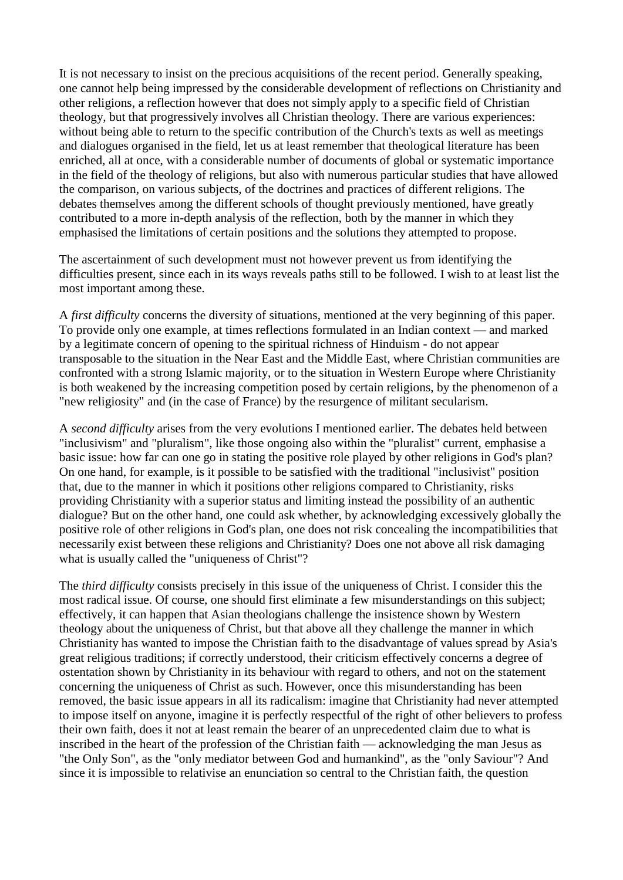It is not necessary to insist on the precious acquisitions of the recent period. Generally speaking, one cannot help being impressed by the considerable development of reflections on Christianity and other religions, a reflection however that does not simply apply to a specific field of Christian theology, but that progressively involves all Christian theology. There are various experiences: without being able to return to the specific contribution of the Church's texts as well as meetings and dialogues organised in the field, let us at least remember that theological literature has been enriched, all at once, with a considerable number of documents of global or systematic importance in the field of the theology of religions, but also with numerous particular studies that have allowed the comparison, on various subjects, of the doctrines and practices of different religions. The debates themselves among the different schools of thought previously mentioned, have greatly contributed to a more in-depth analysis of the reflection, both by the manner in which they emphasised the limitations of certain positions and the solutions they attempted to propose.

The ascertainment of such development must not however prevent us from identifying the difficulties present, since each in its ways reveals paths still to be followed. I wish to at least list the most important among these.

A *first difficulty* concerns the diversity of situations, mentioned at the very beginning of this paper. To provide only one example, at times reflections formulated in an Indian context — and marked by a legitimate concern of opening to the spiritual richness of Hinduism - do not appear transposable to the situation in the Near East and the Middle East, where Christian communities are confronted with a strong Islamic majority, or to the situation in Western Europe where Christianity is both weakened by the increasing competition posed by certain religions, by the phenomenon of a "new religiosity" and (in the case of France) by the resurgence of militant secularism.

A *second difficulty* arises from the very evolutions I mentioned earlier. The debates held between "inclusivism" and "pluralism", like those ongoing also within the "pluralist" current, emphasise a basic issue: how far can one go in stating the positive role played by other religions in God's plan? On one hand, for example, is it possible to be satisfied with the traditional "inclusivist" position that, due to the manner in which it positions other religions compared to Christianity, risks providing Christianity with a superior status and limiting instead the possibility of an authentic dialogue? But on the other hand, one could ask whether, by acknowledging excessively globally the positive role of other religions in God's plan, one does not risk concealing the incompatibilities that necessarily exist between these religions and Christianity? Does one not above all risk damaging what is usually called the "uniqueness of Christ"?

The *third difficulty* consists precisely in this issue of the uniqueness of Christ. I consider this the most radical issue. Of course, one should first eliminate a few misunderstandings on this subject; effectively, it can happen that Asian theologians challenge the insistence shown by Western theology about the uniqueness of Christ, but that above all they challenge the manner in which Christianity has wanted to impose the Christian faith to the disadvantage of values spread by Asia's great religious traditions; if correctly understood, their criticism effectively concerns a degree of ostentation shown by Christianity in its behaviour with regard to others, and not on the statement concerning the uniqueness of Christ as such. However, once this misunderstanding has been removed, the basic issue appears in all its radicalism: imagine that Christianity had never attempted to impose itself on anyone, imagine it is perfectly respectful of the right of other believers to profess their own faith, does it not at least remain the bearer of an unprecedented claim due to what is inscribed in the heart of the profession of the Christian faith — acknowledging the man Jesus as "the Only Son", as the "only mediator between God and humankind", as the "only Saviour"? And since it is impossible to relativise an enunciation so central to the Christian faith, the question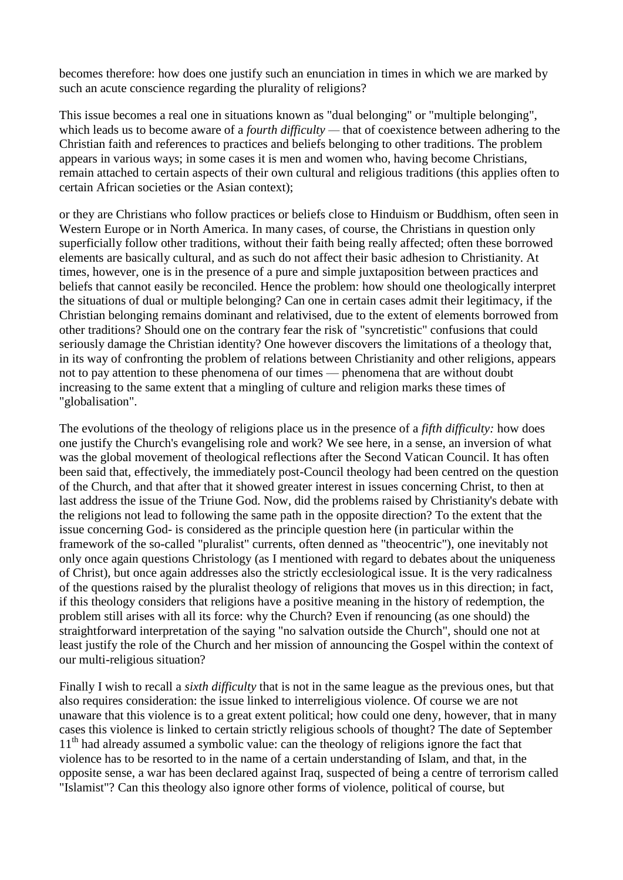becomes therefore: how does one justify such an enunciation in times in which we are marked by such an acute conscience regarding the plurality of religions?

This issue becomes a real one in situations known as "dual belonging" or "multiple belonging", which leads us to become aware of a *fourth difficulty* — that of coexistence between adhering to the Christian faith and references to practices and beliefs belonging to other traditions. The problem appears in various ways; in some cases it is men and women who, having become Christians, remain attached to certain aspects of their own cultural and religious traditions (this applies often to certain African societies or the Asian context);

or they are Christians who follow practices or beliefs close to Hinduism or Buddhism, often seen in Western Europe or in North America. In many cases, of course, the Christians in question only superficially follow other traditions, without their faith being really affected; often these borrowed elements are basically cultural, and as such do not affect their basic adhesion to Christianity. At times, however, one is in the presence of a pure and simple juxtaposition between practices and beliefs that cannot easily be reconciled. Hence the problem: how should one theologically interpret the situations of dual or multiple belonging? Can one in certain cases admit their legitimacy, if the Christian belonging remains dominant and relativised, due to the extent of elements borrowed from other traditions? Should one on the contrary fear the risk of "syncretistic" confusions that could seriously damage the Christian identity? One however discovers the limitations of a theology that, in its way of confronting the problem of relations between Christianity and other religions, appears not to pay attention to these phenomena of our times — phenomena that are without doubt increasing to the same extent that a mingling of culture and religion marks these times of "globalisation".

The evolutions of the theology of religions place us in the presence of a *fifth difficulty:* how does one justify the Church's evangelising role and work? We see here, in a sense, an inversion of what was the global movement of theological reflections after the Second Vatican Council. It has often been said that, effectively, the immediately post-Council theology had been centred on the question of the Church, and that after that it showed greater interest in issues concerning Christ, to then at last address the issue of the Triune God. Now, did the problems raised by Christianity's debate with the religions not lead to following the same path in the opposite direction? To the extent that the issue concerning God- is considered as the principle question here (in particular within the framework of the so-called "pluralist" currents, often denned as "theocentric"), one inevitably not only once again questions Christology (as I mentioned with regard to debates about the uniqueness of Christ), but once again addresses also the strictly ecclesiological issue. It is the very radicalness of the questions raised by the pluralist theology of religions that moves us in this direction; in fact, if this theology considers that religions have a positive meaning in the history of redemption, the problem still arises with all its force: why the Church? Even if renouncing (as one should) the straightforward interpretation of the saying "no salvation outside the Church", should one not at least justify the role of the Church and her mission of announcing the Gospel within the context of our multi-religious situation?

Finally I wish to recall a *sixth difficulty* that is not in the same league as the previous ones, but that also requires consideration: the issue linked to interreligious violence. Of course we are not unaware that this violence is to a great extent political; how could one deny, however, that in many cases this violence is linked to certain strictly religious schools of thought? The date of September 11<sup>th</sup> had already assumed a symbolic value: can the theology of religions ignore the fact that violence has to be resorted to in the name of a certain understanding of Islam, and that, in the opposite sense, a war has been declared against Iraq, suspected of being a centre of terrorism called "Islamist"? Can this theology also ignore other forms of violence, political of course, but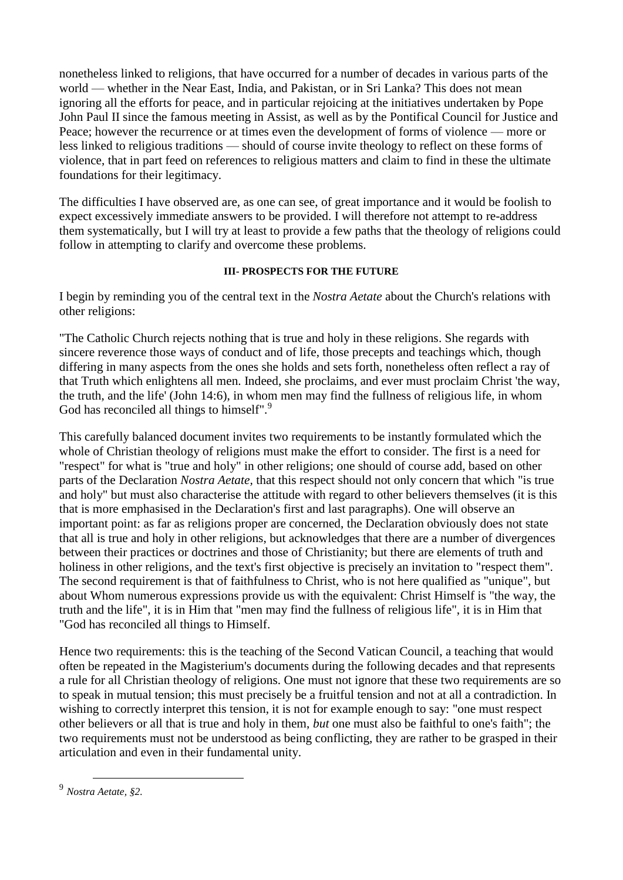nonetheless linked to religions, that have occurred for a number of decades in various parts of the world — whether in the Near East, India, and Pakistan, or in Sri Lanka? This does not mean ignoring all the efforts for peace, and in particular rejoicing at the initiatives undertaken by Pope John Paul II since the famous meeting in Assist, as well as by the Pontifical Council for Justice and Peace; however the recurrence or at times even the development of forms of violence — more or less linked to religious traditions — should of course invite theology to reflect on these forms of violence, that in part feed on references to religious matters and claim to find in these the ultimate foundations for their legitimacy.

The difficulties I have observed are, as one can see, of great importance and it would be foolish to expect excessively immediate answers to be provided. I will therefore not attempt to re-address them systematically, but I will try at least to provide a few paths that the theology of religions could follow in attempting to clarify and overcome these problems.

### **III- PROSPECTS FOR THE FUTURE**

I begin by reminding you of the central text in the *Nostra Aetate* about the Church's relations with other religions:

"The Catholic Church rejects nothing that is true and holy in these religions. She regards with sincere reverence those ways of conduct and of life, those precepts and teachings which, though differing in many aspects from the ones she holds and sets forth, nonetheless often reflect a ray of that Truth which enlightens all men. Indeed, she proclaims, and ever must proclaim Christ 'the way, the truth, and the life' (John 14:6), in whom men may find the fullness of religious life, in whom God has reconciled all things to himself".<sup>9</sup>

This carefully balanced document invites two requirements to be instantly formulated which the whole of Christian theology of religions must make the effort to consider. The first is a need for "respect" for what is "true and holy" in other religions; one should of course add, based on other parts of the Declaration *Nostra Aetate,* that this respect should not only concern that which "is true and holy" but must also characterise the attitude with regard to other believers themselves (it is this that is more emphasised in the Declaration's first and last paragraphs). One will observe an important point: as far as religions proper are concerned, the Declaration obviously does not state that all is true and holy in other religions, but acknowledges that there are a number of divergences between their practices or doctrines and those of Christianity; but there are elements of truth and holiness in other religions, and the text's first objective is precisely an invitation to "respect them". The second requirement is that of faithfulness to Christ, who is not here qualified as "unique", but about Whom numerous expressions provide us with the equivalent: Christ Himself is "the way, the truth and the life", it is in Him that "men may find the fullness of religious life", it is in Him that "God has reconciled all things to Himself.

Hence two requirements: this is the teaching of the Second Vatican Council, a teaching that would often be repeated in the Magisterium's documents during the following decades and that represents a rule for all Christian theology of religions. One must not ignore that these two requirements are so to speak in mutual tension; this must precisely be a fruitful tension and not at all a contradiction. In wishing to correctly interpret this tension, it is not for example enough to say: "one must respect other believers or all that is true and holy in them, *but* one must also be faithful to one's faith"; the two requirements must not be understood as being conflicting, they are rather to be grasped in their articulation and even in their fundamental unity.

 $\overline{a}$ 9 *Nostra Aetate, §2.*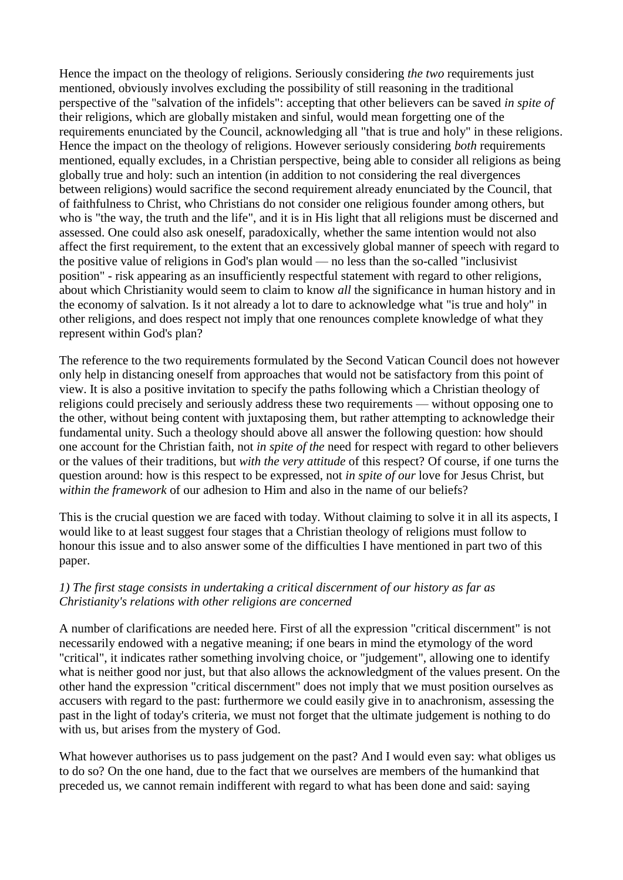Hence the impact on the theology of religions. Seriously considering *the two* requirements just mentioned, obviously involves excluding the possibility of still reasoning in the traditional perspective of the "salvation of the infidels": accepting that other believers can be saved *in spite of* their religions, which are globally mistaken and sinful, would mean forgetting one of the requirements enunciated by the Council, acknowledging all "that is true and holy" in these religions. Hence the impact on the theology of religions. However seriously considering *both* requirements mentioned, equally excludes, in a Christian perspective, being able to consider all religions as being globally true and holy: such an intention (in addition to not considering the real divergences between religions) would sacrifice the second requirement already enunciated by the Council, that of faithfulness to Christ, who Christians do not consider one religious founder among others, but who is "the way, the truth and the life", and it is in His light that all religions must be discerned and assessed. One could also ask oneself, paradoxically, whether the same intention would not also affect the first requirement, to the extent that an excessively global manner of speech with regard to the positive value of religions in God's plan would — no less than the so-called "inclusivist position" - risk appearing as an insufficiently respectful statement with regard to other religions, about which Christianity would seem to claim to know *all* the significance in human history and in the economy of salvation. Is it not already a lot to dare to acknowledge what "is true and holy" in other religions, and does respect not imply that one renounces complete knowledge of what they represent within God's plan?

The reference to the two requirements formulated by the Second Vatican Council does not however only help in distancing oneself from approaches that would not be satisfactory from this point of view. It is also a positive invitation to specify the paths following which a Christian theology of religions could precisely and seriously address these two requirements — without opposing one to the other, without being content with juxtaposing them, but rather attempting to acknowledge their fundamental unity. Such a theology should above all answer the following question: how should one account for the Christian faith, not *in spite of the* need for respect with regard to other believers or the values of their traditions, but *with the very attitude* of this respect? Of course, if one turns the question around: how is this respect to be expressed, not *in spite of our* love for Jesus Christ, but *within the framework* of our adhesion to Him and also in the name of our beliefs?

This is the crucial question we are faced with today. Without claiming to solve it in all its aspects, I would like to at least suggest four stages that a Christian theology of religions must follow to honour this issue and to also answer some of the difficulties I have mentioned in part two of this paper.

## *1) The first stage consists in undertaking a critical discernment of our history as far as Christianity's relations with other religions are concerned*

A number of clarifications are needed here. First of all the expression "critical discernment" is not necessarily endowed with a negative meaning; if one bears in mind the etymology of the word "critical", it indicates rather something involving choice, or "judgement", allowing one to identify what is neither good nor just, but that also allows the acknowledgment of the values present. On the other hand the expression "critical discernment" does not imply that we must position ourselves as accusers with regard to the past: furthermore we could easily give in to anachronism, assessing the past in the light of today's criteria, we must not forget that the ultimate judgement is nothing to do with us, but arises from the mystery of God.

What however authorises us to pass judgement on the past? And I would even say: what obliges us to do so? On the one hand, due to the fact that we ourselves are members of the humankind that preceded us, we cannot remain indifferent with regard to what has been done and said: saying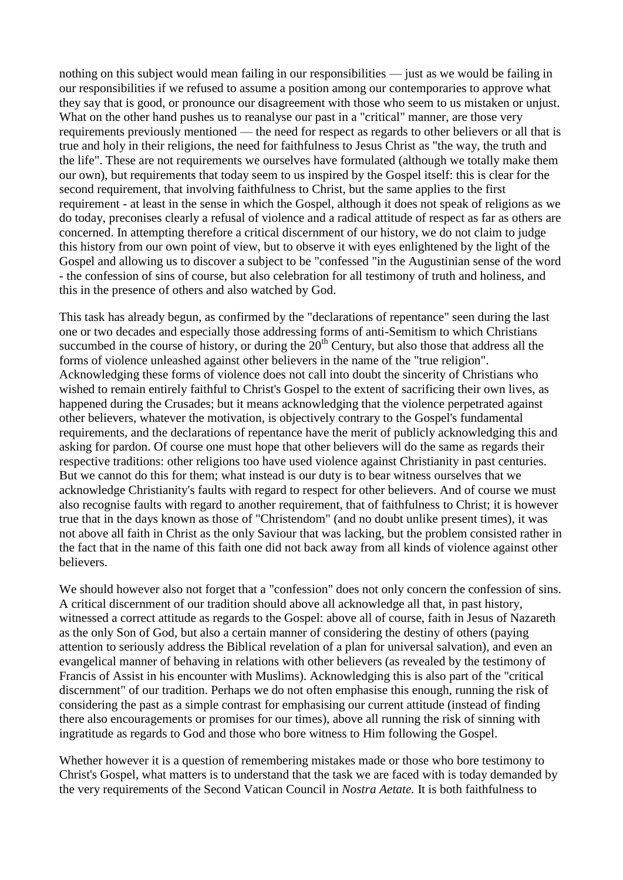nothing on this subject would mean failing in our responsibilities — just as we would be failing in our responsibilities if we refused to assume a position among our contemporaries to approve what they say that is good, or pronounce our disagreement with those who seem to us mistaken or unjust. What on the other hand pushes us to reanalyse our past in a "critical" manner, are those very requirements previously mentioned — the need for respect as regards to other believers or all that is true and holy in their religions, the need for faithfulness to Jesus Christ as "the way, the truth and the life". These are not requirements we ourselves have formulated (although we totally make them our own), but requirements that today seem to us inspired by the Gospel itself: this is clear for the second requirement, that involving faithfulness to Christ, but the same applies to the first requirement - at least in the sense in which the Gospel, although it does not speak of religions as we do today, preconises clearly a refusal of violence and a radical attitude of respect as far as others are concerned. In attempting therefore a critical discernment of our history, we do not claim to judge this history from our own point of view, but to observe it with eyes enlightened by the light of the Gospel and allowing us to discover a subject to be "confessed "in the Augustinian sense of the word - the confession of sins of course, but also celebration for all testimony of truth and holiness, and this in the presence of others and also watched by God.

This task has already begun, as confirmed by the "declarations of repentance" seen during the last one or two decades and especially those addressing forms of anti-Semitism to which Christians succumbed in the course of history, or during the  $20<sup>th</sup>$  Century, but also those that address all the forms of violence unleashed against other believers in the name of the "true religion". Acknowledging these forms of violence does not call into doubt the sincerity of Christians who wished to remain entirely faithful to Christ's Gospel to the extent of sacrificing their own lives, as happened during the Crusades; but it means acknowledging that the violence perpetrated against other believers, whatever the motivation, is objectively contrary to the Gospel's fundamental requirements, and the declarations of repentance have the merit of publicly acknowledging this and asking for pardon. Of course one must hope that other believers will do the same as regards their respective traditions: other religions too have used violence against Christianity in past centuries. But we cannot do this for them; what instead is our duty is to bear witness ourselves that we acknowledge Christianity's faults with regard to respect for other believers. And of course we must also recognise faults with regard to another requirement, that of faithfulness to Christ; it is however true that in the days known as those of "Christendom" (and no doubt unlike present times), it was not above all faith in Christ as the only Saviour that was lacking, but the problem consisted rather in the fact that in the name of this faith one did not back away from all kinds of violence against other believers.

We should however also not forget that a "confession" does not only concern the confession of sins. A critical discernment of our tradition should above all acknowledge all that, in past history, witnessed a correct attitude as regards to the Gospel: above all of course, faith in Jesus of Nazareth as the only Son of God, but also a certain manner of considering the destiny of others (paying attention to seriously address the Biblical revelation of a plan for universal salvation), and even an evangelical manner of behaving in relations with other believers (as revealed by the testimony of Francis of Assist in his encounter with Muslims). Acknowledging this is also part of the "critical discernment" of our tradition. Perhaps we do not often emphasise this enough, running the risk of considering the past as a simple contrast for emphasising our current attitude (instead of finding there also encouragements or promises for our times), above all running the risk of sinning with ingratitude as regards to God and those who bore witness to Him following the Gospel.

Whether however it is a question of remembering mistakes made or those who bore testimony to Christ's Gospel, what matters is to understand that the task we are faced with is today demanded by the very requirements of the Second Vatican Council in *Nostra Aetate.* It is both faithfulness to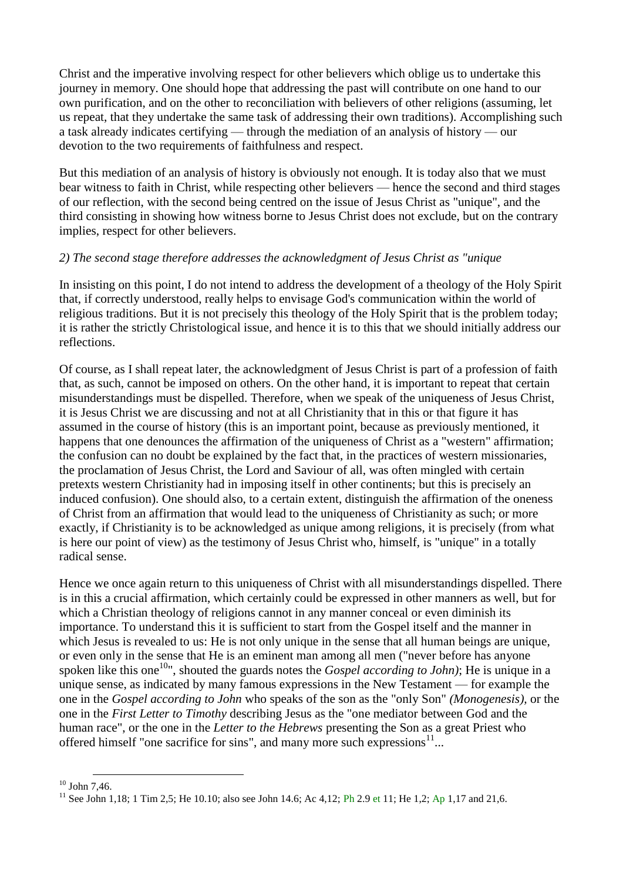Christ and the imperative involving respect for other believers which oblige us to undertake this journey in memory. One should hope that addressing the past will contribute on one hand to our own purification, and on the other to reconciliation with believers of other religions (assuming, let us repeat, that they undertake the same task of addressing their own traditions). Accomplishing such a task already indicates certifying — through the mediation of an analysis of history — our devotion to the two requirements of faithfulness and respect.

But this mediation of an analysis of history is obviously not enough. It is today also that we must bear witness to faith in Christ, while respecting other believers — hence the second and third stages of our reflection, with the second being centred on the issue of Jesus Christ as "unique", and the third consisting in showing how witness borne to Jesus Christ does not exclude, but on the contrary implies, respect for other believers.

## *2) The second stage therefore addresses the acknowledgment of Jesus Christ as "unique*

In insisting on this point, I do not intend to address the development of a theology of the Holy Spirit that, if correctly understood, really helps to envisage God's communication within the world of religious traditions. But it is not precisely this theology of the Holy Spirit that is the problem today; it is rather the strictly Christological issue, and hence it is to this that we should initially address our reflections.

Of course, as I shall repeat later, the acknowledgment of Jesus Christ is part of a profession of faith that, as such, cannot be imposed on others. On the other hand, it is important to repeat that certain misunderstandings must be dispelled. Therefore, when we speak of the uniqueness of Jesus Christ, it is Jesus Christ we are discussing and not at all Christianity that in this or that figure it has assumed in the course of history (this is an important point, because as previously mentioned, it happens that one denounces the affirmation of the uniqueness of Christ as a "western" affirmation; the confusion can no doubt be explained by the fact that, in the practices of western missionaries, the proclamation of Jesus Christ, the Lord and Saviour of all, was often mingled with certain pretexts western Christianity had in imposing itself in other continents; but this is precisely an induced confusion). One should also, to a certain extent, distinguish the affirmation of the oneness of Christ from an affirmation that would lead to the uniqueness of Christianity as such; or more exactly, if Christianity is to be acknowledged as unique among religions, it is precisely (from what is here our point of view) as the testimony of Jesus Christ who, himself, is "unique" in a totally radical sense.

Hence we once again return to this uniqueness of Christ with all misunderstandings dispelled. There is in this a crucial affirmation, which certainly could be expressed in other manners as well, but for which a Christian theology of religions cannot in any manner conceal or even diminish its importance. To understand this it is sufficient to start from the Gospel itself and the manner in which Jesus is revealed to us: He is not only unique in the sense that all human beings are unique, or even only in the sense that He is an eminent man among all men ("never before has anyone spoken like this one<sup>10</sup>", shouted the guards notes the *Gospel according to John*); He is unique in a unique sense, as indicated by many famous expressions in the New Testament — for example the one in the *Gospel according to John* who speaks of the son as the "only Son" *(Monogenesis),* or the one in the *First Letter to Timothy* describing Jesus as the "one mediator between God and the human race", or the one in the *Letter to the Hebrews* presenting the Son as a great Priest who offered himself "one sacrifice for sins", and many more such expressions $11$ ...

 $10$  John 7,46.

<sup>&</sup>lt;sup>11</sup> See John 1,18; 1 Tim 2,5; He 10.10; also see John 14.6; Ac 4,12; Ph 2.9 et 11; He 1,2; Ap 1,17 and 21,6.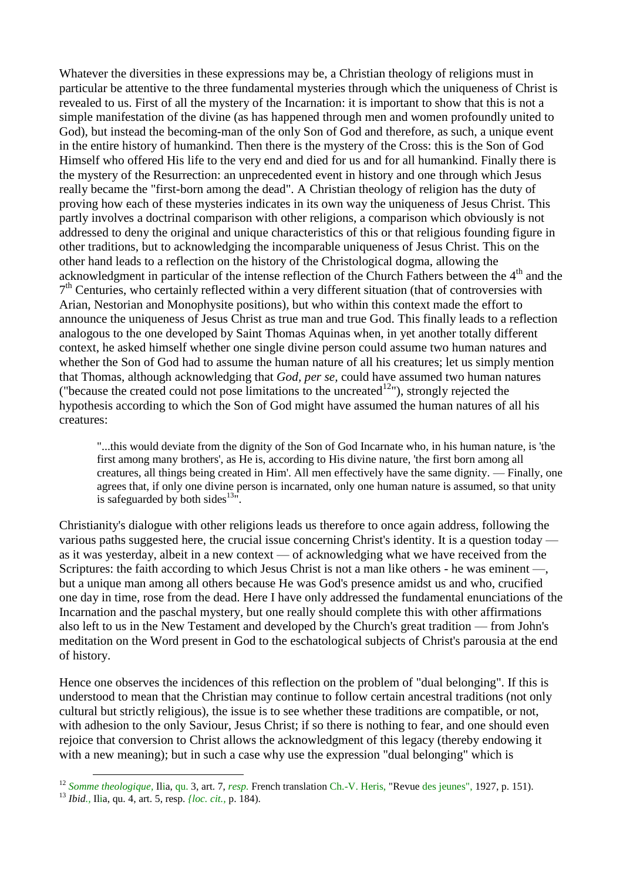Whatever the diversities in these expressions may be, a Christian theology of religions must in particular be attentive to the three fundamental mysteries through which the uniqueness of Christ is revealed to us. First of all the mystery of the Incarnation: it is important to show that this is not a simple manifestation of the divine (as has happened through men and women profoundly united to God), but instead the becoming-man of the only Son of God and therefore, as such, a unique event in the entire history of humankind. Then there is the mystery of the Cross: this is the Son of God Himself who offered His life to the very end and died for us and for all humankind. Finally there is the mystery of the Resurrection: an unprecedented event in history and one through which Jesus really became the "first-born among the dead". A Christian theology of religion has the duty of proving how each of these mysteries indicates in its own way the uniqueness of Jesus Christ. This partly involves a doctrinal comparison with other religions, a comparison which obviously is not addressed to deny the original and unique characteristics of this or that religious founding figure in other traditions, but to acknowledging the incomparable uniqueness of Jesus Christ. This on the other hand leads to a reflection on the history of the Christological dogma, allowing the acknowledgment in particular of the intense reflection of the Church Fathers between the  $4<sup>th</sup>$  and the 7<sup>th</sup> Centuries, who certainly reflected within a very different situation (that of controversies with Arian, Nestorian and Monophysite positions), but who within this context made the effort to announce the uniqueness of Jesus Christ as true man and true God. This finally leads to a reflection analogous to the one developed by Saint Thomas Aquinas when, in yet another totally different context, he asked himself whether one single divine person could assume two human natures and whether the Son of God had to assume the human nature of all his creatures; let us simply mention that Thomas, although acknowledging that *God, per se,* could have assumed two human natures ("because the created could not pose limitations to the uncreated<sup>12</sup>"), strongly rejected the hypothesis according to which the Son of God might have assumed the human natures of all his creatures:

"...this would deviate from the dignity of the Son of God Incarnate who, in his human nature, is 'the first among many brothers', as He is, according to His divine nature, 'the first born among all creatures, all things being created in Him'. All men effectively have the same dignity. — Finally, one agrees that, if only one divine person is incarnated, only one human nature is assumed, so that unity is safeguarded by both sides $13\degree$ .

Christianity's dialogue with other religions leads us therefore to once again address, following the various paths suggested here, the crucial issue concerning Christ's identity. It is a question today as it was yesterday, albeit in a new context — of acknowledging what we have received from the Scriptures: the faith according to which Jesus Christ is not a man like others - he was eminent —, but a unique man among all others because He was God's presence amidst us and who, crucified one day in time, rose from the dead. Here I have only addressed the fundamental enunciations of the Incarnation and the paschal mystery, but one really should complete this with other affirmations also left to us in the New Testament and developed by the Church's great tradition — from John's meditation on the Word present in God to the eschatological subjects of Christ's parousia at the end of history.

Hence one observes the incidences of this reflection on the problem of "dual belonging". If this is understood to mean that the Christian may continue to follow certain ancestral traditions (not only cultural but strictly religious), the issue is to see whether these traditions are compatible, or not, with adhesion to the only Saviour, Jesus Christ; if so there is nothing to fear, and one should even rejoice that conversion to Christ allows the acknowledgment of this legacy (thereby endowing it with a new meaning); but in such a case why use the expression "dual belonging" which is

<sup>12</sup> *Somme theologique,* Ilia, qu. 3, art. 7, *resp.* French translation Ch.-V. Heris, "Revue des jeunes", 1927, p. 151).

<sup>13</sup> *Ibid.,* Ilia, qu. 4, art. 5, resp. *{loc. cit.,* p. 184).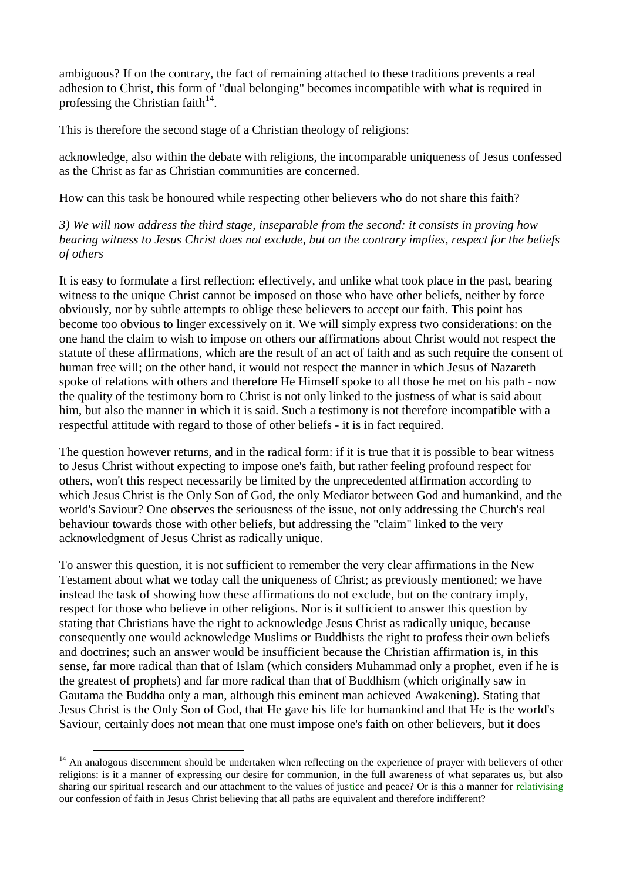ambiguous? If on the contrary, the fact of remaining attached to these traditions prevents a real adhesion to Christ, this form of "dual belonging" becomes incompatible with what is required in professing the Christian faith $14$ .

This is therefore the second stage of a Christian theology of religions:

acknowledge, also within the debate with religions, the incomparable uniqueness of Jesus confessed as the Christ as far as Christian communities are concerned.

How can this task be honoured while respecting other believers who do not share this faith?

*3) We will now address the third stage, inseparable from the second: it consists in proving how bearing witness to Jesus Christ does not exclude, but on the contrary implies, respect for the beliefs of others*

It is easy to formulate a first reflection: effectively, and unlike what took place in the past, bearing witness to the unique Christ cannot be imposed on those who have other beliefs, neither by force obviously, nor by subtle attempts to oblige these believers to accept our faith. This point has become too obvious to linger excessively on it. We will simply express two considerations: on the one hand the claim to wish to impose on others our affirmations about Christ would not respect the statute of these affirmations, which are the result of an act of faith and as such require the consent of human free will; on the other hand, it would not respect the manner in which Jesus of Nazareth spoke of relations with others and therefore He Himself spoke to all those he met on his path - now the quality of the testimony born to Christ is not only linked to the justness of what is said about him, but also the manner in which it is said. Such a testimony is not therefore incompatible with a respectful attitude with regard to those of other beliefs - it is in fact required.

The question however returns, and in the radical form: if it is true that it is possible to bear witness to Jesus Christ without expecting to impose one's faith, but rather feeling profound respect for others, won't this respect necessarily be limited by the unprecedented affirmation according to which Jesus Christ is the Only Son of God, the only Mediator between God and humankind, and the world's Saviour? One observes the seriousness of the issue, not only addressing the Church's real behaviour towards those with other beliefs, but addressing the "claim" linked to the very acknowledgment of Jesus Christ as radically unique.

To answer this question, it is not sufficient to remember the very clear affirmations in the New Testament about what we today call the uniqueness of Christ; as previously mentioned; we have instead the task of showing how these affirmations do not exclude, but on the contrary imply, respect for those who believe in other religions. Nor is it sufficient to answer this question by stating that Christians have the right to acknowledge Jesus Christ as radically unique, because consequently one would acknowledge Muslims or Buddhists the right to profess their own beliefs and doctrines; such an answer would be insufficient because the Christian affirmation is, in this sense, far more radical than that of Islam (which considers Muhammad only a prophet, even if he is the greatest of prophets) and far more radical than that of Buddhism (which originally saw in Gautama the Buddha only a man, although this eminent man achieved Awakening). Stating that Jesus Christ is the Only Son of God, that He gave his life for humankind and that He is the world's Saviour, certainly does not mean that one must impose one's faith on other believers, but it does

<sup>&</sup>lt;sup>14</sup> An analogous discernment should be undertaken when reflecting on the experience of prayer with believers of other religions: is it a manner of expressing our desire for communion, in the full awareness of what separates us, but also sharing our spiritual research and our attachment to the values of justice and peace? Or is this a manner for relativising our confession of faith in Jesus Christ believing that all paths are equivalent and therefore indifferent?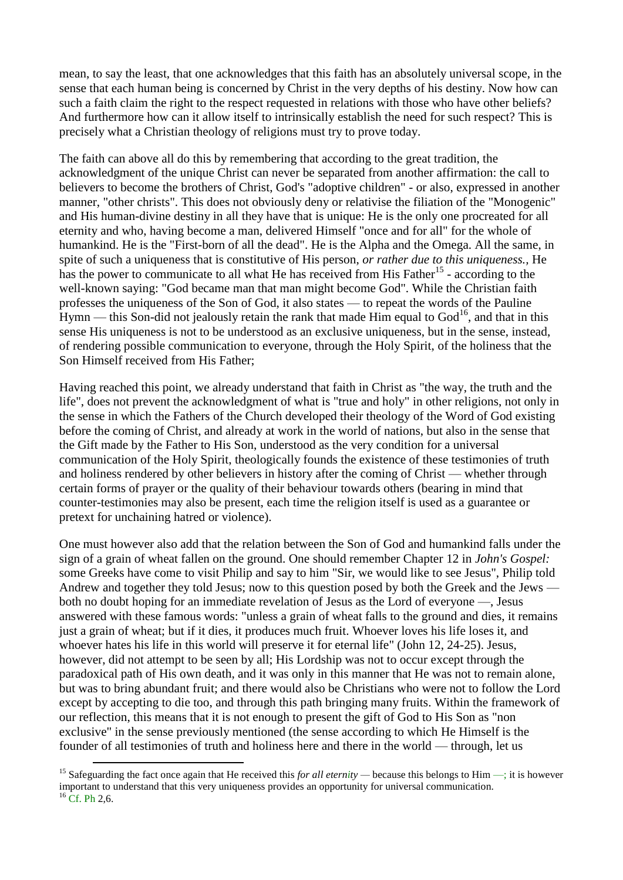mean, to say the least, that one acknowledges that this faith has an absolutely universal scope, in the sense that each human being is concerned by Christ in the very depths of his destiny. Now how can such a faith claim the right to the respect requested in relations with those who have other beliefs? And furthermore how can it allow itself to intrinsically establish the need for such respect? This is precisely what a Christian theology of religions must try to prove today.

The faith can above all do this by remembering that according to the great tradition, the acknowledgment of the unique Christ can never be separated from another affirmation: the call to believers to become the brothers of Christ, God's "adoptive children" - or also, expressed in another manner, "other christs". This does not obviously deny or relativise the filiation of the "Monogenic" and His human-divine destiny in all they have that is unique: He is the only one procreated for all eternity and who, having become a man, delivered Himself "once and for all" for the whole of humankind. He is the "First-born of all the dead". He is the Alpha and the Omega. All the same, in spite of such a uniqueness that is constitutive of His person, *or rather due to this uniqueness.,* He has the power to communicate to all what He has received from His Father<sup>15</sup> - according to the well-known saying: "God became man that man might become God". While the Christian faith professes the uniqueness of the Son of God, it also states — to repeat the words of the Pauline  $Hymn$  — this Son-did not jealously retain the rank that made Him equal to  $God<sup>16</sup>$ , and that in this sense His uniqueness is not to be understood as an exclusive uniqueness, but in the sense, instead, of rendering possible communication to everyone, through the Holy Spirit, of the holiness that the Son Himself received from His Father;

Having reached this point, we already understand that faith in Christ as "the way, the truth and the life", does not prevent the acknowledgment of what is "true and holy" in other religions, not only in the sense in which the Fathers of the Church developed their theology of the Word of God existing before the coming of Christ, and already at work in the world of nations, but also in the sense that the Gift made by the Father to His Son, understood as the very condition for a universal communication of the Holy Spirit, theologically founds the existence of these testimonies of truth and holiness rendered by other believers in history after the coming of Christ — whether through certain forms of prayer or the quality of their behaviour towards others (bearing in mind that counter-testimonies may also be present, each time the religion itself is used as a guarantee or pretext for unchaining hatred or violence).

One must however also add that the relation between the Son of God and humankind falls under the sign of a grain of wheat fallen on the ground. One should remember Chapter 12 in *John's Gospel:* some Greeks have come to visit Philip and say to him "Sir, we would like to see Jesus", Philip told Andrew and together they told Jesus; now to this question posed by both the Greek and the Jews both no doubt hoping for an immediate revelation of Jesus as the Lord of everyone —, Jesus answered with these famous words: "unless a grain of wheat falls to the ground and dies, it remains just a grain of wheat; but if it dies, it produces much fruit. Whoever loves his life loses it, and whoever hates his life in this world will preserve it for eternal life" (John 12, 24-25). Jesus, however, did not attempt to be seen by all; His Lordship was not to occur except through the paradoxical path of His own death, and it was only in this manner that He was not to remain alone, but was to bring abundant fruit; and there would also be Christians who were not to follow the Lord except by accepting to die too, and through this path bringing many fruits. Within the framework of our reflection, this means that it is not enough to present the gift of God to His Son as "non exclusive" in the sense previously mentioned (the sense according to which He Himself is the founder of all testimonies of truth and holiness here and there in the world — through, let us

<sup>&</sup>lt;sup>15</sup> Safeguarding the fact once again that He received this *for all eternity* — because this belongs to Him —; it is however important to understand that this very uniqueness provides an opportunity for universal communication.  $16$  Cf. Ph 2,6.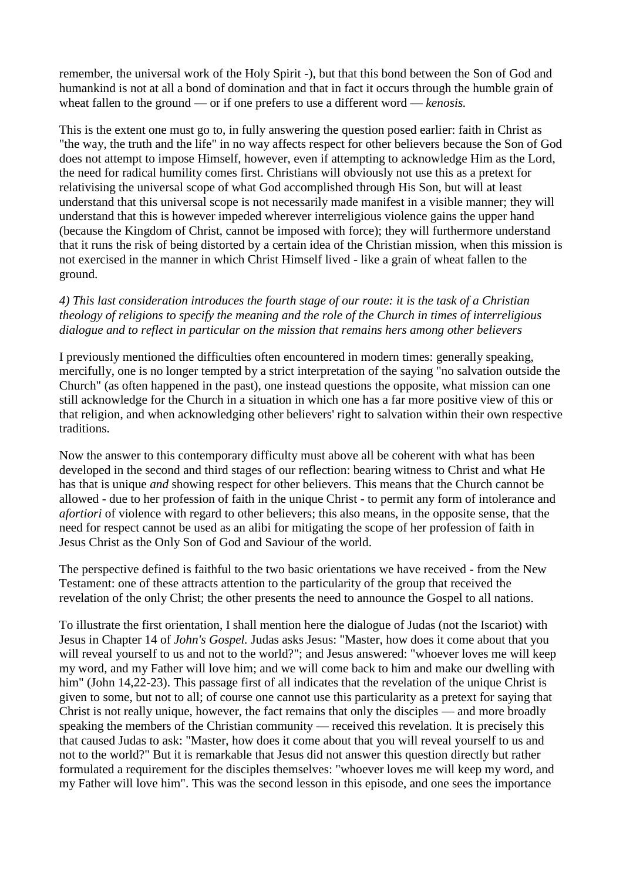remember, the universal work of the Holy Spirit -), but that this bond between the Son of God and humankind is not at all a bond of domination and that in fact it occurs through the humble grain of wheat fallen to the ground — or if one prefers to use a different word — *kenosis.*

This is the extent one must go to, in fully answering the question posed earlier: faith in Christ as "the way, the truth and the life" in no way affects respect for other believers because the Son of God does not attempt to impose Himself, however, even if attempting to acknowledge Him as the Lord, the need for radical humility comes first. Christians will obviously not use this as a pretext for relativising the universal scope of what God accomplished through His Son, but will at least understand that this universal scope is not necessarily made manifest in a visible manner; they will understand that this is however impeded wherever interreligious violence gains the upper hand (because the Kingdom of Christ, cannot be imposed with force); they will furthermore understand that it runs the risk of being distorted by a certain idea of the Christian mission, when this mission is not exercised in the manner in which Christ Himself lived - like a grain of wheat fallen to the ground.

## *4) This last consideration introduces the fourth stage of our route: it is the task of a Christian theology of religions to specify the meaning and the role of the Church in times of interreligious dialogue and to reflect in particular on the mission that remains hers among other believers*

I previously mentioned the difficulties often encountered in modern times: generally speaking, mercifully, one is no longer tempted by a strict interpretation of the saying "no salvation outside the Church" (as often happened in the past), one instead questions the opposite, what mission can one still acknowledge for the Church in a situation in which one has a far more positive view of this or that religion, and when acknowledging other believers' right to salvation within their own respective traditions.

Now the answer to this contemporary difficulty must above all be coherent with what has been developed in the second and third stages of our reflection: bearing witness to Christ and what He has that is unique *and* showing respect for other believers. This means that the Church cannot be allowed - due to her profession of faith in the unique Christ - to permit any form of intolerance and *afortiori* of violence with regard to other believers; this also means, in the opposite sense, that the need for respect cannot be used as an alibi for mitigating the scope of her profession of faith in Jesus Christ as the Only Son of God and Saviour of the world.

The perspective defined is faithful to the two basic orientations we have received - from the New Testament: one of these attracts attention to the particularity of the group that received the revelation of the only Christ; the other presents the need to announce the Gospel to all nations.

To illustrate the first orientation, I shall mention here the dialogue of Judas (not the Iscariot) with Jesus in Chapter 14 of *John's Gospel.* Judas asks Jesus: "Master, how does it come about that you will reveal yourself to us and not to the world?"; and Jesus answered: "whoever loves me will keep my word, and my Father will love him; and we will come back to him and make our dwelling with him" (John 14,22-23). This passage first of all indicates that the revelation of the unique Christ is given to some, but not to all; of course one cannot use this particularity as a pretext for saying that Christ is not really unique, however, the fact remains that only the disciples — and more broadly speaking the members of the Christian community — received this revelation. It is precisely this that caused Judas to ask: "Master, how does it come about that you will reveal yourself to us and not to the world?" But it is remarkable that Jesus did not answer this question directly but rather formulated a requirement for the disciples themselves: "whoever loves me will keep my word, and my Father will love him". This was the second lesson in this episode, and one sees the importance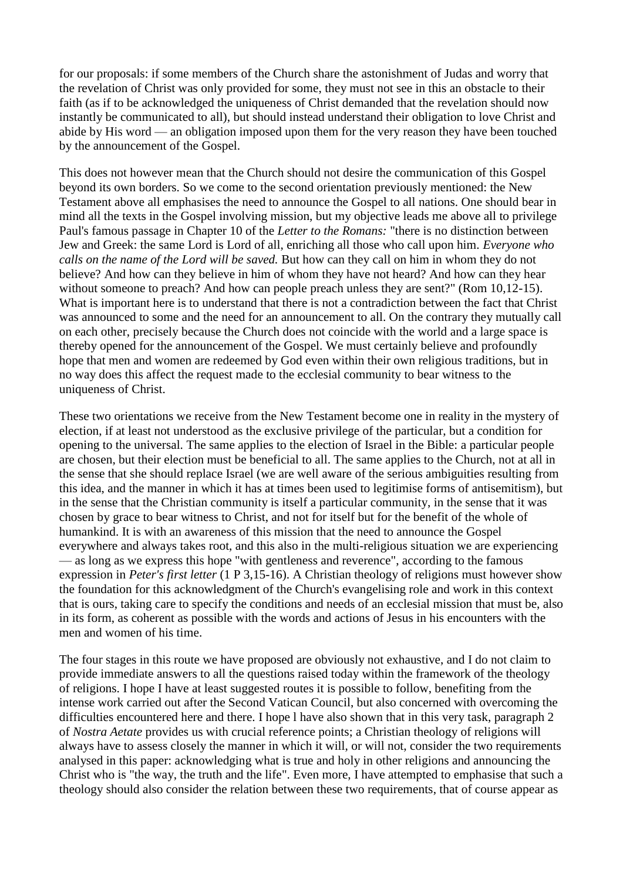for our proposals: if some members of the Church share the astonishment of Judas and worry that the revelation of Christ was only provided for some, they must not see in this an obstacle to their faith (as if to be acknowledged the uniqueness of Christ demanded that the revelation should now instantly be communicated to all), but should instead understand their obligation to love Christ and abide by His word — an obligation imposed upon them for the very reason they have been touched by the announcement of the Gospel.

This does not however mean that the Church should not desire the communication of this Gospel beyond its own borders. So we come to the second orientation previously mentioned: the New Testament above all emphasises the need to announce the Gospel to all nations. One should bear in mind all the texts in the Gospel involving mission, but my objective leads me above all to privilege Paul's famous passage in Chapter 10 of the *Letter to the Romans:* "there is no distinction between Jew and Greek: the same Lord is Lord of all, enriching all those who call upon him. *Everyone who calls on the name of the Lord will be saved.* But how can they call on him in whom they do not believe? And how can they believe in him of whom they have not heard? And how can they hear without someone to preach? And how can people preach unless they are sent?" (Rom 10,12-15). What is important here is to understand that there is not a contradiction between the fact that Christ was announced to some and the need for an announcement to all. On the contrary they mutually call on each other, precisely because the Church does not coincide with the world and a large space is thereby opened for the announcement of the Gospel. We must certainly believe and profoundly hope that men and women are redeemed by God even within their own religious traditions, but in no way does this affect the request made to the ecclesial community to bear witness to the uniqueness of Christ.

These two orientations we receive from the New Testament become one in reality in the mystery of election, if at least not understood as the exclusive privilege of the particular, but a condition for opening to the universal. The same applies to the election of Israel in the Bible: a particular people are chosen, but their election must be beneficial to all. The same applies to the Church, not at all in the sense that she should replace Israel (we are well aware of the serious ambiguities resulting from this idea, and the manner in which it has at times been used to legitimise forms of antisemitism), but in the sense that the Christian community is itself a particular community, in the sense that it was chosen by grace to bear witness to Christ, and not for itself but for the benefit of the whole of humankind. It is with an awareness of this mission that the need to announce the Gospel everywhere and always takes root, and this also in the multi-religious situation we are experiencing — as long as we express this hope "with gentleness and reverence", according to the famous expression in *Peter's first letter* (1 P 3,15-16). A Christian theology of religions must however show the foundation for this acknowledgment of the Church's evangelising role and work in this context that is ours, taking care to specify the conditions and needs of an ecclesial mission that must be, also in its form, as coherent as possible with the words and actions of Jesus in his encounters with the men and women of his time.

The four stages in this route we have proposed are obviously not exhaustive, and I do not claim to provide immediate answers to all the questions raised today within the framework of the theology of religions. I hope I have at least suggested routes it is possible to follow, benefiting from the intense work carried out after the Second Vatican Council, but also concerned with overcoming the difficulties encountered here and there. I hope l have also shown that in this very task, paragraph 2 of *Nostra Aetate* provides us with crucial reference points; a Christian theology of religions will always have to assess closely the manner in which it will, or will not, consider the two requirements analysed in this paper: acknowledging what is true and holy in other religions and announcing the Christ who is "the way, the truth and the life". Even more, I have attempted to emphasise that such a theology should also consider the relation between these two requirements, that of course appear as